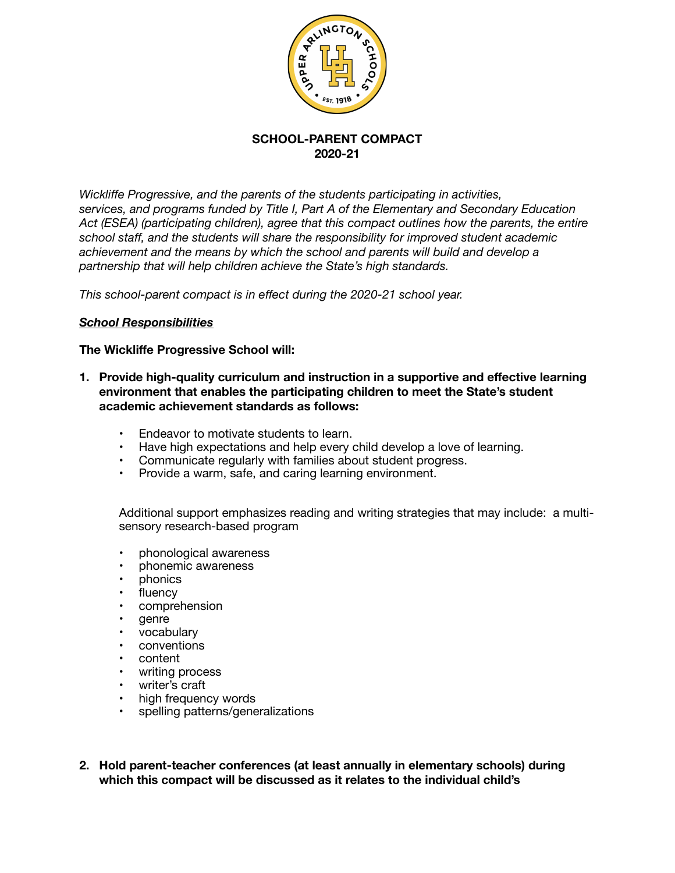

# **SCHOOL-PARENT COMPACT 2020-21**

*Wickliffe Progressive, and the parents of the students participating in activities, services, and programs funded by Title I, Part A of the Elementary and Secondary Education Act (ESEA) (participating children), agree that this compact outlines how the parents, the entire school staff, and the students will share the responsibility for improved student academic achievement and the means by which the school and parents will build and develop a partnership that will help children achieve the State's high standards.* 

*This school-parent compact is in effect during the 2020-21 school year.* 

## *School Responsibilities*

**The Wickliffe Progressive School will:** 

- **1. Provide high-quality curriculum and instruction in a supportive and effective learning environment that enables the participating children to meet the State's student academic achievement standards as follows:**
	- Endeavor to motivate students to learn.
	- Have high expectations and help every child develop a love of learning.
	- Communicate regularly with families about student progress.
	- Provide a warm, safe, and caring learning environment.

Additional support emphasizes reading and writing strategies that may include: a multisensory research-based program

- phonological awareness
- phonemic awareness
- phonics
- fluency
- comprehension
- genre
- vocabulary
- conventions
- content
- writing process
- writer's craft
- high frequency words
- spelling patterns/generalizations
- **2. Hold parent-teacher conferences (at least annually in elementary schools) during which this compact will be discussed as it relates to the individual child's**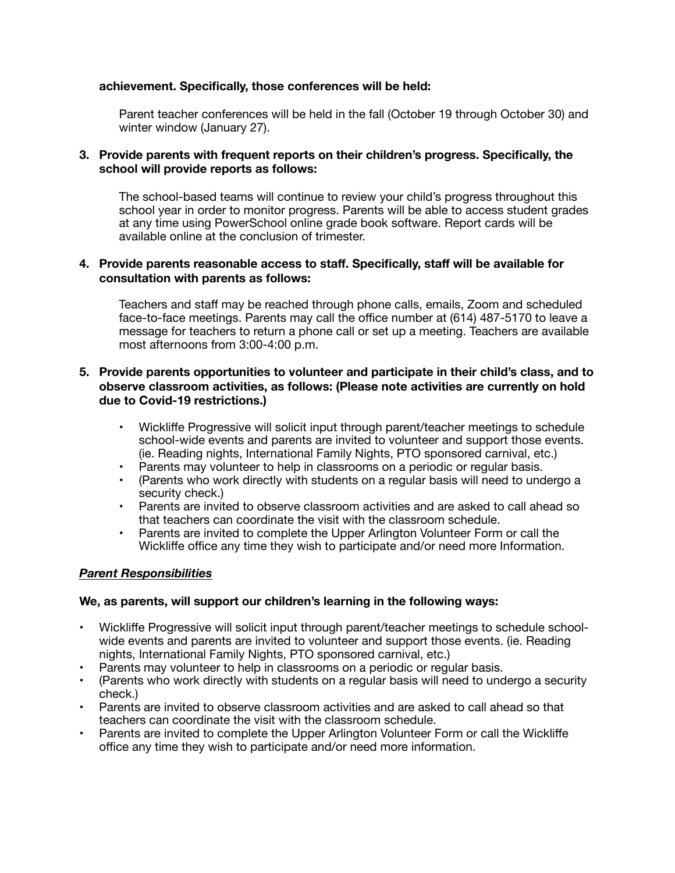### **achievement. Specifically, those conferences will be held:**

Parent teacher conferences will be held in the fall (October 19 through October 30) and winter window (January 27).

## **3. Provide parents with frequent reports on their children's progress. Specifically, the school will provide reports as follows:**

The school-based teams will continue to review your child's progress throughout this school year in order to monitor progress. Parents will be able to access student grades at any time using PowerSchool online grade book software. Report cards will be available online at the conclusion of trimester.

## **4. Provide parents reasonable access to staff. Specifically, staff will be available for consultation with parents as follows:**

Teachers and staff may be reached through phone calls, emails, Zoom and scheduled face-to-face meetings. Parents may call the office number at (614) 487-5170 to leave a message for teachers to return a phone call or set up a meeting. Teachers are available most afternoons from 3:00-4:00 p.m.

## **5. Provide parents opportunities to volunteer and participate in their child's class, and to observe classroom activities, as follows: (Please note activities are currently on hold due to Covid-19 restrictions.)**

- Wickliffe Progressive will solicit input through parent/teacher meetings to schedule school-wide events and parents are invited to volunteer and support those events. (ie. Reading nights, International Family Nights, PTO sponsored carnival, etc.)
- Parents may volunteer to help in classrooms on a periodic or regular basis.
- (Parents who work directly with students on a regular basis will need to undergo a security check.)
- Parents are invited to observe classroom activities and are asked to call ahead so that teachers can coordinate the visit with the classroom schedule.
- Parents are invited to complete the Upper Arlington Volunteer Form or call the Wickliffe office any time they wish to participate and/or need more Information.

#### *Parent Responsibilities*

#### **We, as parents, will support our children's learning in the following ways:**

- Wickliffe Progressive will solicit input through parent/teacher meetings to schedule schoolwide events and parents are invited to volunteer and support those events. (ie. Reading nights, International Family Nights, PTO sponsored carnival, etc.)
- Parents may volunteer to help in classrooms on a periodic or regular basis.
- (Parents who work directly with students on a regular basis will need to undergo a security check.)
- Parents are invited to observe classroom activities and are asked to call ahead so that teachers can coordinate the visit with the classroom schedule.
- Parents are invited to complete the Upper Arlington Volunteer Form or call the Wickliffe office any time they wish to participate and/or need more information.